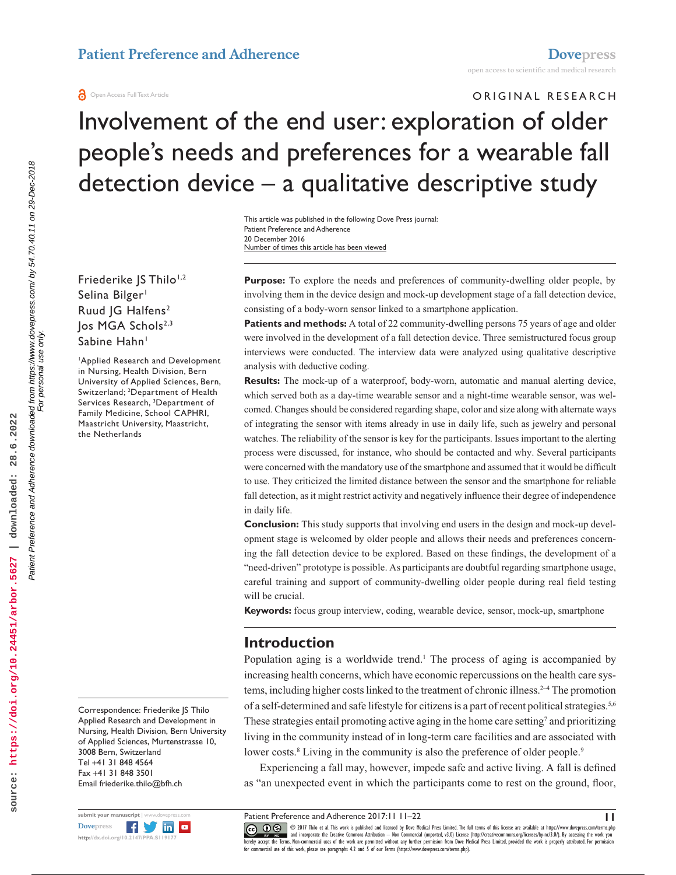#### ORIGINAL RESEARCH

# Involvement of the end user: exploration of older people's needs and preferences for a wearable fall detection device – a qualitative descriptive study

Number of times this article has been viewed This article was published in the following Dove Press journal: Patient Preference and Adherence 20 December 2016

Friederike JS Thilo<sup>1,2</sup> Selina Bilger<sup>1</sup> Ruud JG Halfens<sup>2</sup> los MGA Schols<sup>2,3</sup> Sabine Hahn<sup>1</sup>

1 Applied Research and Development in Nursing, Health Division, Bern University of Applied Sciences, Bern, Switzerland; 2 Department of Health Services Research, 3 Department of Family Medicine, School CAPHRI, Maastricht University, Maastricht, the Netherlands

Correspondence: Friederike JS Thilo Applied Research and Development in Nursing, Health Division, Bern University of Applied Sciences, Murtenstrasse 10, 3008 Bern, Switzerland Tel +41 31 848 4564 Fax +41 31 848 3501 Email [friederike.thilo@bfh.ch](mailto:friederike.thilo@bfh.ch)



**Purpose:** To explore the needs and preferences of community-dwelling older people, by involving them in the device design and mock-up development stage of a fall detection device, consisting of a body-worn sensor linked to a smartphone application.

**Patients and methods:** A total of 22 community-dwelling persons 75 years of age and older were involved in the development of a fall detection device. Three semistructured focus group interviews were conducted. The interview data were analyzed using qualitative descriptive analysis with deductive coding.

**Results:** The mock-up of a waterproof, body-worn, automatic and manual alerting device, which served both as a day-time wearable sensor and a night-time wearable sensor, was welcomed. Changes should be considered regarding shape, color and size along with alternate ways of integrating the sensor with items already in use in daily life, such as jewelry and personal watches. The reliability of the sensor is key for the participants. Issues important to the alerting process were discussed, for instance, who should be contacted and why. Several participants were concerned with the mandatory use of the smartphone and assumed that it would be difficult to use. They criticized the limited distance between the sensor and the smartphone for reliable fall detection, as it might restrict activity and negatively influence their degree of independence in daily life.

**Conclusion:** This study supports that involving end users in the design and mock-up development stage is welcomed by older people and allows their needs and preferences concerning the fall detection device to be explored. Based on these findings, the development of a "need-driven" prototype is possible. As participants are doubtful regarding smartphone usage, careful training and support of community-dwelling older people during real field testing will be crucial.

**Keywords:** focus group interview, coding, wearable device, sensor, mock-up, smartphone

# **Introduction**

Population aging is a worldwide trend.<sup>1</sup> The process of aging is accompanied by increasing health concerns, which have economic repercussions on the health care systems, including higher costs linked to the treatment of chronic illness.2–4 The promotion of a self-determined and safe lifestyle for citizens is a part of recent political strategies.<sup>5,6</sup> These strategies entail promoting active aging in the home care setting<sup>7</sup> and prioritizing living in the community instead of in long-term care facilities and are associated with lower costs.<sup>8</sup> Living in the community is also the preference of older people.<sup>9</sup>

Experiencing a fall may, however, impede safe and active living. A fall is defined as "an unexpected event in which the participants come to rest on the ground, floor,

Patient Preference and Adherence 2017:11 11–22

CC 1 © 2017 Thilo et al. This work is published and licensed by Dove Medical Press Limited. The full terms of this license are available at<https://www.dovepress.com/terms.php><br>[hereby accept the Terms](http://www.dovepress.com/permissions.php). Non-commercial uses o

**11**

source:

For personal use only.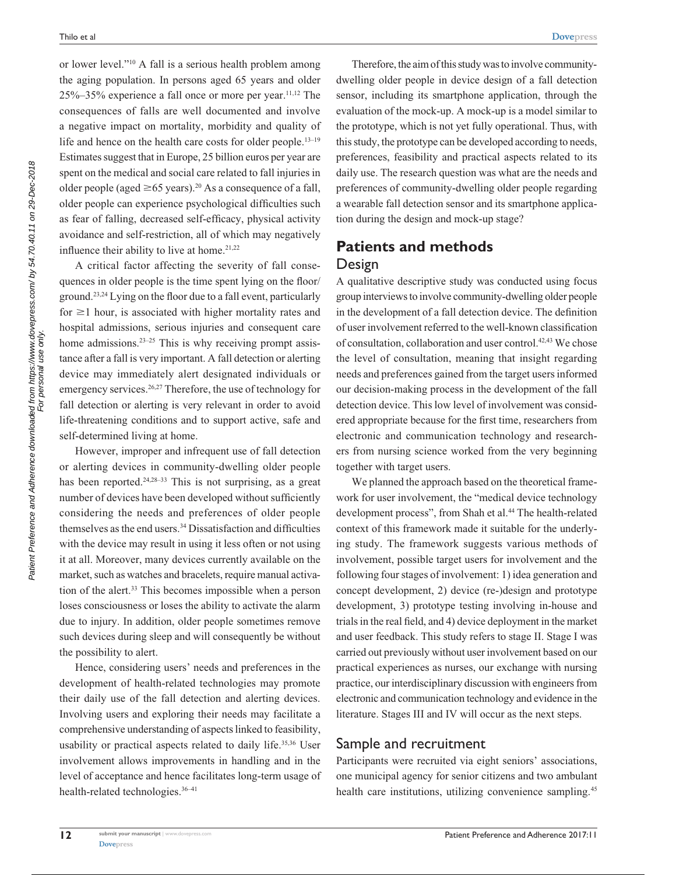or lower level."10 A fall is a serious health problem among the aging population. In persons aged 65 years and older 25%–35% experience a fall once or more per year.11,12 The consequences of falls are well documented and involve a negative impact on mortality, morbidity and quality of life and hence on the health care costs for older people.13–19 Estimates suggest that in Europe, 25 billion euros per year are spent on the medical and social care related to fall injuries in older people (aged  $\geq$  65 years).<sup>20</sup> As a consequence of a fall, older people can experience psychological difficulties such as fear of falling, decreased self-efficacy, physical activity avoidance and self-restriction, all of which may negatively influence their ability to live at home.<sup>21,22</sup>

A critical factor affecting the severity of fall consequences in older people is the time spent lying on the floor/ ground.23,24 Lying on the floor due to a fall event, particularly for  $\geq$ 1 hour, is associated with higher mortality rates and hospital admissions, serious injuries and consequent care home admissions.<sup>23–25</sup> This is why receiving prompt assistance after a fall is very important. A fall detection or alerting device may immediately alert designated individuals or emergency services.<sup>26,27</sup> Therefore, the use of technology for fall detection or alerting is very relevant in order to avoid life-threatening conditions and to support active, safe and self-determined living at home.

However, improper and infrequent use of fall detection or alerting devices in community-dwelling older people has been reported.<sup>24,28–33</sup> This is not surprising, as a great number of devices have been developed without sufficiently considering the needs and preferences of older people themselves as the end users.<sup>34</sup> Dissatisfaction and difficulties with the device may result in using it less often or not using it at all. Moreover, many devices currently available on the market, such as watches and bracelets, require manual activation of the alert.<sup>33</sup> This becomes impossible when a person loses consciousness or loses the ability to activate the alarm due to injury. In addition, older people sometimes remove such devices during sleep and will consequently be without the possibility to alert.

Hence, considering users' needs and preferences in the development of health-related technologies may promote their daily use of the fall detection and alerting devices. Involving users and exploring their needs may facilitate a comprehensive understanding of aspects linked to feasibility, usability or practical aspects related to daily life.<sup>35,36</sup> User involvement allows improvements in handling and in the level of acceptance and hence facilitates long-term usage of health-related technologies.36–41

Therefore, the aim of this study was to involve communitydwelling older people in device design of a fall detection sensor, including its smartphone application, through the evaluation of the mock-up. A mock-up is a model similar to the prototype, which is not yet fully operational. Thus, with this study, the prototype can be developed according to needs, preferences, feasibility and practical aspects related to its daily use. The research question was what are the needs and preferences of community-dwelling older people regarding a wearable fall detection sensor and its smartphone application during the design and mock-up stage?

# **Patients and methods** Design

A qualitative descriptive study was conducted using focus group interviews to involve community-dwelling older people in the development of a fall detection device. The definition of user involvement referred to the well-known classification of consultation, collaboration and user control.<sup>42,43</sup> We chose the level of consultation, meaning that insight regarding needs and preferences gained from the target users informed our decision-making process in the development of the fall detection device. This low level of involvement was considered appropriate because for the first time, researchers from electronic and communication technology and researchers from nursing science worked from the very beginning together with target users.

We planned the approach based on the theoretical framework for user involvement, the "medical device technology development process", from Shah et al.<sup>44</sup> The health-related context of this framework made it suitable for the underlying study. The framework suggests various methods of involvement, possible target users for involvement and the following four stages of involvement: 1) idea generation and concept development, 2) device (re-)design and prototype development, 3) prototype testing involving in-house and trials in the real field, and 4) device deployment in the market and user feedback. This study refers to stage II. Stage I was carried out previously without user involvement based on our practical experiences as nurses, our exchange with nursing practice, our interdisciplinary discussion with engineers from electronic and communication technology and evidence in the literature. Stages III and IV will occur as the next steps.

#### Sample and recruitment

Participants were recruited via eight seniors' associations, one municipal agency for senior citizens and two ambulant health care institutions, utilizing convenience sampling.<sup>45</sup>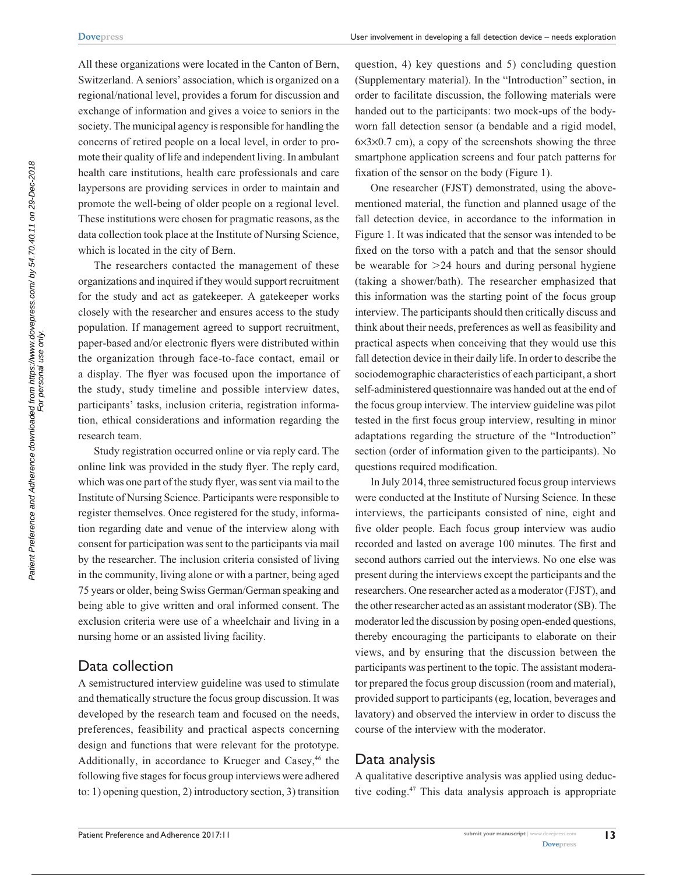All these organizations were located in the Canton of Bern, Switzerland. A seniors' association, which is organized on a regional/national level, provides a forum for discussion and exchange of information and gives a voice to seniors in the society. The municipal agency is responsible for handling the concerns of retired people on a local level, in order to promote their quality of life and independent living. In ambulant health care institutions, health care professionals and care laypersons are providing services in order to maintain and promote the well-being of older people on a regional level. These institutions were chosen for pragmatic reasons, as the data collection took place at the Institute of Nursing Science, which is located in the city of Bern.

The researchers contacted the management of these organizations and inquired if they would support recruitment for the study and act as gatekeeper. A gatekeeper works closely with the researcher and ensures access to the study population. If management agreed to support recruitment, paper-based and/or electronic flyers were distributed within the organization through face-to-face contact, email or a display. The flyer was focused upon the importance of the study, study timeline and possible interview dates, participants' tasks, inclusion criteria, registration information, ethical considerations and information regarding the research team.

Study registration occurred online or via reply card. The online link was provided in the study flyer. The reply card, which was one part of the study flyer, was sent via mail to the Institute of Nursing Science. Participants were responsible to register themselves. Once registered for the study, information regarding date and venue of the interview along with consent for participation was sent to the participants via mail by the researcher. The inclusion criteria consisted of living in the community, living alone or with a partner, being aged 75 years or older, being Swiss German/German speaking and being able to give written and oral informed consent. The exclusion criteria were use of a wheelchair and living in a nursing home or an assisted living facility.

#### Data collection

A semistructured interview guideline was used to stimulate and thematically structure the focus group discussion. It was developed by the research team and focused on the needs, preferences, feasibility and practical aspects concerning design and functions that were relevant for the prototype. Additionally, in accordance to Krueger and Casey,<sup>46</sup> the following five stages for focus group interviews were adhered to: 1) opening question, 2) introductory section, 3) transition

question, 4) key questions and 5) concluding question (Supplementary material). In the "Introduction" section, in order to facilitate discussion, the following materials were handed out to the participants: two mock-ups of the bodyworn fall detection sensor (a bendable and a rigid model,  $6\times3\times0.7$  cm), a copy of the screenshots showing the three smartphone application screens and four patch patterns for fixation of the sensor on the body (Figure 1).

One researcher (FJST) demonstrated, using the abovementioned material, the function and planned usage of the fall detection device, in accordance to the information in Figure 1. It was indicated that the sensor was intended to be fixed on the torso with a patch and that the sensor should be wearable for  $>24$  hours and during personal hygiene (taking a shower/bath). The researcher emphasized that this information was the starting point of the focus group interview. The participants should then critically discuss and think about their needs, preferences as well as feasibility and practical aspects when conceiving that they would use this fall detection device in their daily life. In order to describe the sociodemographic characteristics of each participant, a short self-administered questionnaire was handed out at the end of the focus group interview. The interview guideline was pilot tested in the first focus group interview, resulting in minor adaptations regarding the structure of the "Introduction" section (order of information given to the participants). No questions required modification.

In July 2014, three semistructured focus group interviews were conducted at the Institute of Nursing Science. In these interviews, the participants consisted of nine, eight and five older people. Each focus group interview was audio recorded and lasted on average 100 minutes. The first and second authors carried out the interviews. No one else was present during the interviews except the participants and the researchers. One researcher acted as a moderator (FJST), and the other researcher acted as an assistant moderator (SB). The moderator led the discussion by posing open-ended questions, thereby encouraging the participants to elaborate on their views, and by ensuring that the discussion between the participants was pertinent to the topic. The assistant moderator prepared the focus group discussion (room and material), provided support to participants (eg, location, beverages and lavatory) and observed the interview in order to discuss the course of the interview with the moderator.

## Data analysis

A qualitative descriptive analysis was applied using deductive coding.47 This data analysis approach is appropriate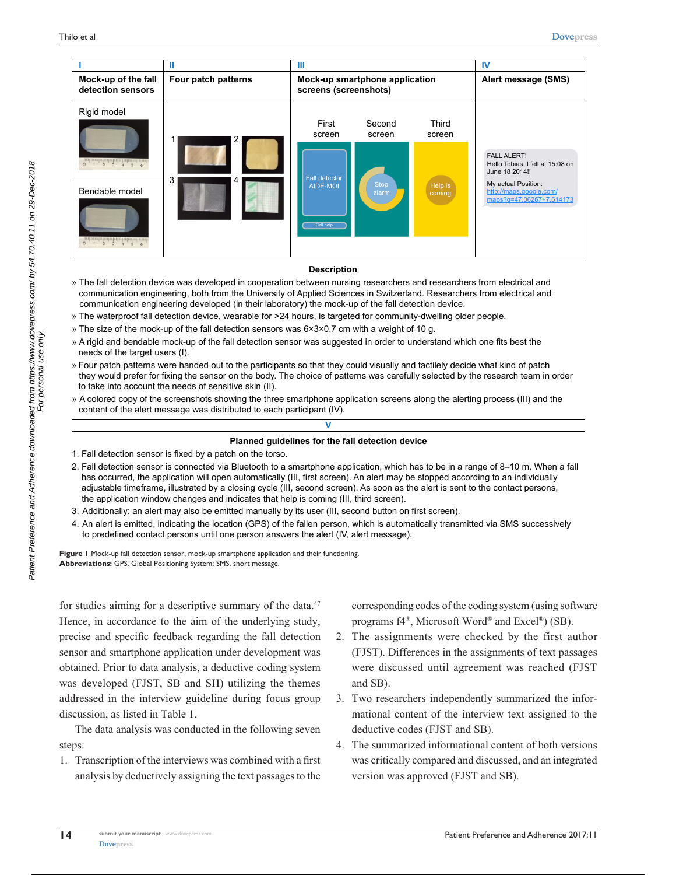

#### **Description**

- » The fall detection device was developed in cooperation between nursing researchers and researchers from electrical and communication engineering, both from the University of Applied Sciences in Switzerland. Researchers from electrical and communication engineering developed (in their laboratory) the mock-up of the fall detection device.
- » The waterproof fall detection device, wearable for >24 hours, is targeted for community-dwelling older people.
- » The size of the mock-up of the fall detection sensors was 6×3×0.7 cm with a weight of 10 g.
- » A rigid and bendable mock-up of the fall detection sensor was suggested in order to understand which one fits best the needs of the target users (I).
- » Four patch patterns were handed out to the participants so that they could visually and tactilely decide what kind of patch they would prefer for fixing the sensor on the body. The choice of patterns was carefully selected by the research team in order to take into account the needs of sensitive skin (II).
- » A colored copy of the screenshots showing the three smartphone application screens along the alerting process (III) and the content of the alert message was distributed to each participant (IV).

#### **Planned quidelines for the fall detection device 9**

- 1. Fall detection sensor is fixed by a patch on the torso.
- 2. Fall detection sensor is connected via Bluetooth to a smartphone application, which has to be in a range of 8–10 m. When a fall has occurred, the application will open automatically (III, first screen). An alert may be stopped according to an individually adjustable timeframe, illustrated by a closing cycle (III, second screen). As soon as the alert is sent to the contact persons, the application window changes and indicates that help is coming (III, third screen).
- 3. Additionally: an alert may also be emitted manually by its user (III, second button on first screen).
- 4. An alert is emitted, indicating the location (GPS) of the fallen person, which is automatically transmitted via SMS successively to predefined contact persons until one person answers the alert (IV, alert message).

**Figure 1** Mock-up fall detection sensor, mock-up smartphone application and their functioning. **Abbreviations:** GPS, Global Positioning System; SMS, short message.

for studies aiming for a descriptive summary of the data.<sup>47</sup> Hence, in accordance to the aim of the underlying study, precise and specific feedback regarding the fall detection sensor and smartphone application under development was obtained. Prior to data analysis, a deductive coding system was developed (FJST, SB and SH) utilizing the themes addressed in the interview guideline during focus group discussion, as listed in Table 1.

The data analysis was conducted in the following seven steps:

1. Transcription of the interviews was combined with a first analysis by deductively assigning the text passages to the corresponding codes of the coding system (using software programs f4®, Microsoft Word® and Excel®) (SB).

- 2. The assignments were checked by the first author (FJST). Differences in the assignments of text passages were discussed until agreement was reached (FJST and SB).
- 3. Two researchers independently summarized the informational content of the interview text assigned to the deductive codes (FJST and SB).
- 4. The summarized informational content of both versions was critically compared and discussed, and an integrated version was approved (FJST and SB).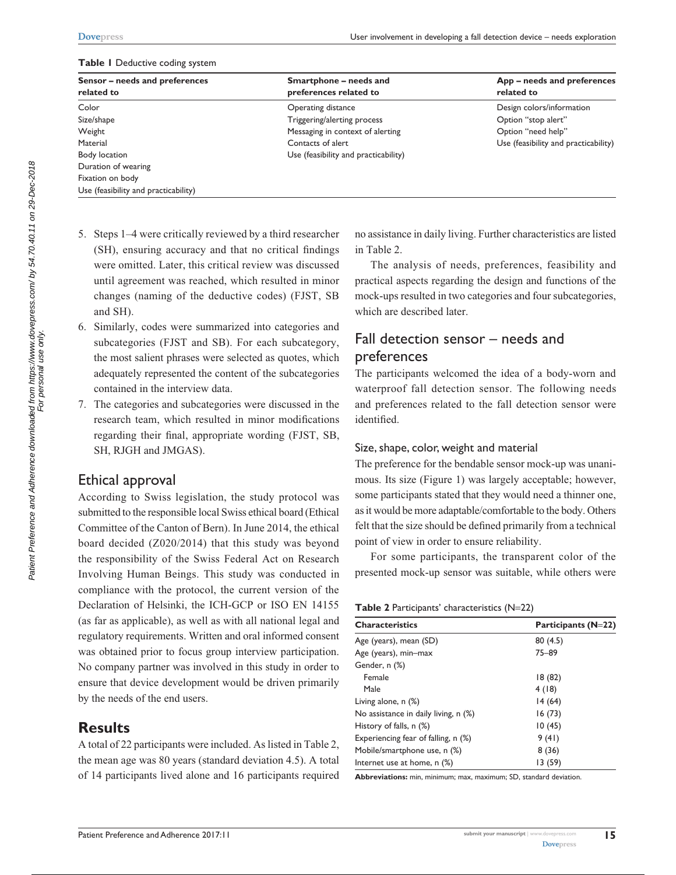| Sensor - needs and preferences<br>related to | Smartphone – needs and<br>preferences related to | App – needs and preferences<br>related to |
|----------------------------------------------|--------------------------------------------------|-------------------------------------------|
|                                              |                                                  |                                           |
| Size/shape                                   | Triggering/alerting process                      | Option "stop alert"                       |
| Weight                                       | Messaging in context of alerting                 | Option "need help"                        |
| Material                                     | Contacts of alert                                | Use (feasibility and practicability)      |
| Body location                                | Use (feasibility and practicability)             |                                           |
| Duration of wearing                          |                                                  |                                           |
| Fixation on body                             |                                                  |                                           |
| Use (feasibility and practicability)         |                                                  |                                           |

**Table 1** Deductive coding system

- 5. Steps 1–4 were critically reviewed by a third researcher (SH), ensuring accuracy and that no critical findings were omitted. Later, this critical review was discussed until agreement was reached, which resulted in minor changes (naming of the deductive codes) (FJST, SB and SH).
- 6. Similarly, codes were summarized into categories and subcategories (FJST and SB). For each subcategory, the most salient phrases were selected as quotes, which adequately represented the content of the subcategories contained in the interview data.
- 7. The categories and subcategories were discussed in the research team, which resulted in minor modifications regarding their final, appropriate wording (FJST, SB, SH, RJGH and JMGAS).

# Ethical approval

According to Swiss legislation, the study protocol was submitted to the responsible local Swiss ethical board (Ethical Committee of the Canton of Bern). In June 2014, the ethical board decided (Z020/2014) that this study was beyond the responsibility of the Swiss Federal Act on Research Involving Human Beings. This study was conducted in compliance with the protocol, the current version of the Declaration of Helsinki, the ICH-GCP or ISO EN 14155 (as far as applicable), as well as with all national legal and regulatory requirements. Written and oral informed consent was obtained prior to focus group interview participation. No company partner was involved in this study in order to ensure that device development would be driven primarily by the needs of the end users.

# **Results**

A total of 22 participants were included. As listed in Table 2, the mean age was 80 years (standard deviation 4.5). A total of 14 participants lived alone and 16 participants required no assistance in daily living. Further characteristics are listed in Table 2.

The analysis of needs, preferences, feasibility and practical aspects regarding the design and functions of the mock-ups resulted in two categories and four subcategories, which are described later.

# Fall detection sensor – needs and preferences

The participants welcomed the idea of a body-worn and waterproof fall detection sensor. The following needs and preferences related to the fall detection sensor were identified.

# Size, shape, color, weight and material

The preference for the bendable sensor mock-up was unanimous. Its size (Figure 1) was largely acceptable; however, some participants stated that they would need a thinner one, as it would be more adaptable/comfortable to the body. Others felt that the size should be defined primarily from a technical point of view in order to ensure reliability.

For some participants, the transparent color of the presented mock-up sensor was suitable, while others were

## **Table 2** Participants' characteristics (N=22)

| <b>Characteristics</b>               | Participants (N=22) |
|--------------------------------------|---------------------|
| Age (years), mean (SD)               | 80(4.5)             |
| Age (years), min-max                 | 75-89               |
| Gender, n (%)                        |                     |
| Female                               | 18(82)              |
| Male                                 | 4(18)               |
| Living alone, n (%)                  | 14(64)              |
| No assistance in daily living, n (%) | 16(73)              |
| History of falls, n (%)              | 10(45)              |
| Experiencing fear of falling, n (%)  | 9 (41)              |
| Mobile/smartphone use, n (%)         | 8(36)               |
| Internet use at home, n (%)          | 13 (59)             |

**Abbreviations:** min, minimum; max, maximum; SD, standard deviation.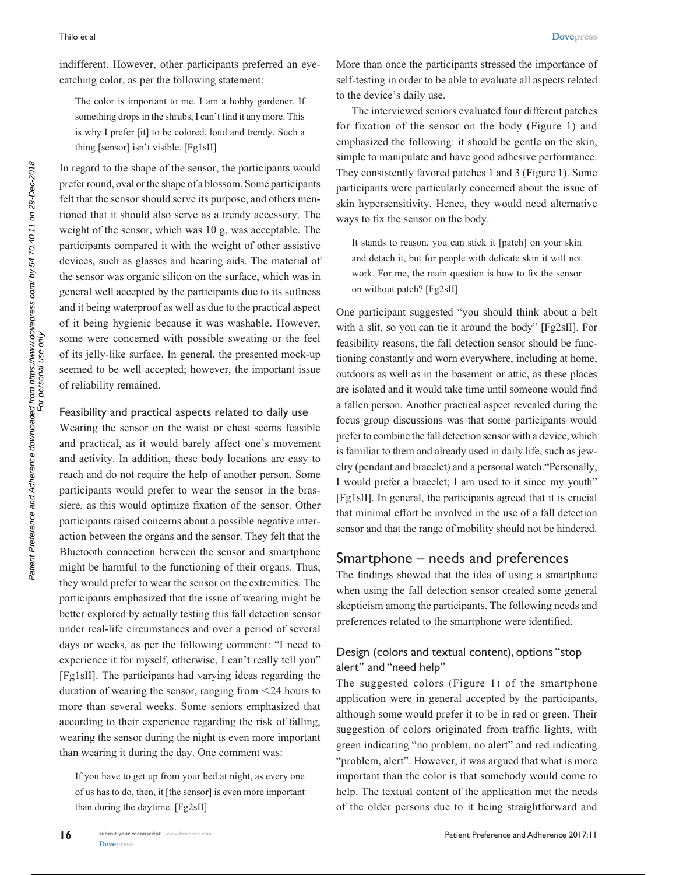indifferent. However, other participants preferred an eyecatching color, as per the following statement:

The color is important to me. I am a hobby gardener. If something drops in the shrubs, I can't find it any more. This is why I prefer [it] to be colored, loud and trendy. Such a thing [sensor] isn't visible. [Fg1sII]

In regard to the shape of the sensor, the participants would prefer round, oval or the shape of a blossom. Some participants felt that the sensor should serve its purpose, and others mentioned that it should also serve as a trendy accessory. The weight of the sensor, which was 10 g, was acceptable. The participants compared it with the weight of other assistive devices, such as glasses and hearing aids. The material of the sensor was organic silicon on the surface, which was in general well accepted by the participants due to its softness and it being waterproof as well as due to the practical aspect of it being hygienic because it was washable. However, some were concerned with possible sweating or the feel of its jelly-like surface. In general, the presented mock-up seemed to be well accepted; however, the important issue of reliability remained.

#### Feasibility and practical aspects related to daily use

Wearing the sensor on the waist or chest seems feasible and practical, as it would barely affect one's movement and activity. In addition, these body locations are easy to reach and do not require the help of another person. Some participants would prefer to wear the sensor in the brassiere, as this would optimize fixation of the sensor. Other participants raised concerns about a possible negative interaction between the organs and the sensor. They felt that the Bluetooth connection between the sensor and smartphone might be harmful to the functioning of their organs. Thus, they would prefer to wear the sensor on the extremities. The participants emphasized that the issue of wearing might be better explored by actually testing this fall detection sensor under real-life circumstances and over a period of several days or weeks, as per the following comment: "I need to experience it for myself, otherwise, I can't really tell you" [Fg1sII]. The participants had varying ideas regarding the duration of wearing the sensor, ranging from  $\leq$ 24 hours to more than several weeks. Some seniors emphasized that according to their experience regarding the risk of falling, wearing the sensor during the night is even more important than wearing it during the day. One comment was:

If you have to get up from your bed at night, as every one of us has to do, then, it [the sensor] is even more important than during the daytime. [Fg2sII]

More than once the participants stressed the importance of self-testing in order to be able to evaluate all aspects related to the device's daily use.

The interviewed seniors evaluated four different patches for fixation of the sensor on the body (Figure 1) and emphasized the following: it should be gentle on the skin, simple to manipulate and have good adhesive performance. They consistently favored patches 1 and 3 (Figure 1). Some participants were particularly concerned about the issue of skin hypersensitivity. Hence, they would need alternative ways to fix the sensor on the body.

It stands to reason, you can stick it [patch] on your skin and detach it, but for people with delicate skin it will not work. For me, the main question is how to fix the sensor on without patch? [Fg2sII]

One participant suggested "you should think about a belt with a slit, so you can tie it around the body" [Fg2sII]. For feasibility reasons, the fall detection sensor should be functioning constantly and worn everywhere, including at home, outdoors as well as in the basement or attic, as these places are isolated and it would take time until someone would find a fallen person. Another practical aspect revealed during the focus group discussions was that some participants would prefer to combine the fall detection sensor with a device, which is familiar to them and already used in daily life, such as jewelry (pendant and bracelet) and a personal watch."Personally, I would prefer a bracelet; I am used to it since my youth" [Fg1sII]. In general, the participants agreed that it is crucial that minimal effort be involved in the use of a fall detection sensor and that the range of mobility should not be hindered.

# Smartphone – needs and preferences

The findings showed that the idea of using a smartphone when using the fall detection sensor created some general skepticism among the participants. The following needs and preferences related to the smartphone were identified.

#### Design (colors and textual content), options "stop alert" and "need help"

The suggested colors (Figure 1) of the smartphone application were in general accepted by the participants, although some would prefer it to be in red or green. Their suggestion of colors originated from traffic lights, with green indicating "no problem, no alert" and red indicating "problem, alert". However, it was argued that what is more important than the color is that somebody would come to help. The textual content of the application met the needs of the older persons due to it being straightforward and

**16**

For personal use only.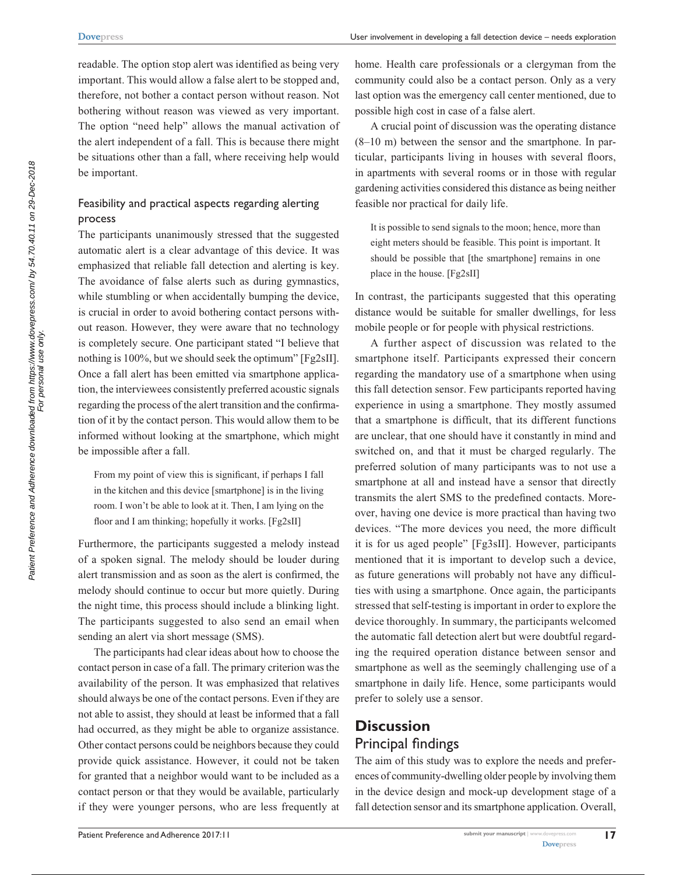readable. The option stop alert was identified as being very important. This would allow a false alert to be stopped and, therefore, not bother a contact person without reason. Not bothering without reason was viewed as very important. The option "need help" allows the manual activation of the alert independent of a fall. This is because there might be situations other than a fall, where receiving help would be important.

# Feasibility and practical aspects regarding alerting process

The participants unanimously stressed that the suggested automatic alert is a clear advantage of this device. It was emphasized that reliable fall detection and alerting is key. The avoidance of false alerts such as during gymnastics, while stumbling or when accidentally bumping the device, is crucial in order to avoid bothering contact persons without reason. However, they were aware that no technology is completely secure. One participant stated "I believe that nothing is 100%, but we should seek the optimum" [Fg2sII]. Once a fall alert has been emitted via smartphone application, the interviewees consistently preferred acoustic signals regarding the process of the alert transition and the confirmation of it by the contact person. This would allow them to be informed without looking at the smartphone, which might be impossible after a fall.

From my point of view this is significant, if perhaps I fall in the kitchen and this device [smartphone] is in the living room. I won't be able to look at it. Then, I am lying on the floor and I am thinking; hopefully it works. [Fg2sII]

Furthermore, the participants suggested a melody instead of a spoken signal. The melody should be louder during alert transmission and as soon as the alert is confirmed, the melody should continue to occur but more quietly. During the night time, this process should include a blinking light. The participants suggested to also send an email when sending an alert via short message (SMS).

The participants had clear ideas about how to choose the contact person in case of a fall. The primary criterion was the availability of the person. It was emphasized that relatives should always be one of the contact persons. Even if they are not able to assist, they should at least be informed that a fall had occurred, as they might be able to organize assistance. Other contact persons could be neighbors because they could provide quick assistance. However, it could not be taken for granted that a neighbor would want to be included as a contact person or that they would be available, particularly if they were younger persons, who are less frequently at

home. Health care professionals or a clergyman from the community could also be a contact person. Only as a very last option was the emergency call center mentioned, due to possible high cost in case of a false alert.

A crucial point of discussion was the operating distance (8–10 m) between the sensor and the smartphone. In particular, participants living in houses with several floors, in apartments with several rooms or in those with regular gardening activities considered this distance as being neither feasible nor practical for daily life.

It is possible to send signals to the moon; hence, more than eight meters should be feasible. This point is important. It should be possible that [the smartphone] remains in one place in the house. [Fg2sII]

In contrast, the participants suggested that this operating distance would be suitable for smaller dwellings, for less mobile people or for people with physical restrictions.

A further aspect of discussion was related to the smartphone itself. Participants expressed their concern regarding the mandatory use of a smartphone when using this fall detection sensor. Few participants reported having experience in using a smartphone. They mostly assumed that a smartphone is difficult, that its different functions are unclear, that one should have it constantly in mind and switched on, and that it must be charged regularly. The preferred solution of many participants was to not use a smartphone at all and instead have a sensor that directly transmits the alert SMS to the predefined contacts. Moreover, having one device is more practical than having two devices. "The more devices you need, the more difficult it is for us aged people" [Fg3sII]. However, participants mentioned that it is important to develop such a device, as future generations will probably not have any difficulties with using a smartphone. Once again, the participants stressed that self-testing is important in order to explore the device thoroughly. In summary, the participants welcomed the automatic fall detection alert but were doubtful regarding the required operation distance between sensor and smartphone as well as the seemingly challenging use of a smartphone in daily life. Hence, some participants would prefer to solely use a sensor.

# **Discussion** Principal findings

The aim of this study was to explore the needs and preferences of community-dwelling older people by involving them in the device design and mock-up development stage of a fall detection sensor and its smartphone application. Overall,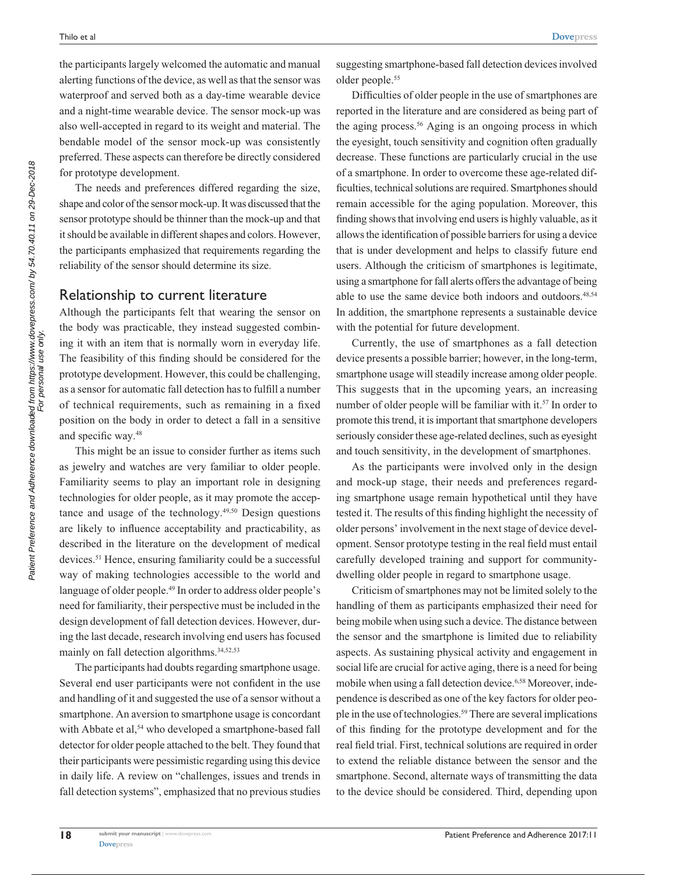the participants largely welcomed the automatic and manual alerting functions of the device, as well as that the sensor was waterproof and served both as a day-time wearable device and a night-time wearable device. The sensor mock-up was also well-accepted in regard to its weight and material. The bendable model of the sensor mock-up was consistently preferred. These aspects can therefore be directly considered for prototype development.

The needs and preferences differed regarding the size, shape and color of the sensor mock-up. It was discussed that the sensor prototype should be thinner than the mock-up and that it should be available in different shapes and colors. However, the participants emphasized that requirements regarding the reliability of the sensor should determine its size.

#### Relationship to current literature

Although the participants felt that wearing the sensor on the body was practicable, they instead suggested combining it with an item that is normally worn in everyday life. The feasibility of this finding should be considered for the prototype development. However, this could be challenging, as a sensor for automatic fall detection has to fulfill a number of technical requirements, such as remaining in a fixed position on the body in order to detect a fall in a sensitive and specific way.48

This might be an issue to consider further as items such as jewelry and watches are very familiar to older people. Familiarity seems to play an important role in designing technologies for older people, as it may promote the acceptance and usage of the technology. $49,50$  Design questions are likely to influence acceptability and practicability, as described in the literature on the development of medical devices.<sup>51</sup> Hence, ensuring familiarity could be a successful way of making technologies accessible to the world and language of older people.<sup>49</sup> In order to address older people's need for familiarity, their perspective must be included in the design development of fall detection devices. However, during the last decade, research involving end users has focused mainly on fall detection algorithms.<sup>34,52,53</sup>

The participants had doubts regarding smartphone usage. Several end user participants were not confident in the use and handling of it and suggested the use of a sensor without a smartphone. An aversion to smartphone usage is concordant with Abbate et al,<sup>54</sup> who developed a smartphone-based fall detector for older people attached to the belt. They found that their participants were pessimistic regarding using this device in daily life. A review on "challenges, issues and trends in fall detection systems", emphasized that no previous studies suggesting smartphone-based fall detection devices involved older people.55

Difficulties of older people in the use of smartphones are reported in the literature and are considered as being part of the aging process.<sup>56</sup> Aging is an ongoing process in which the eyesight, touch sensitivity and cognition often gradually decrease. These functions are particularly crucial in the use of a smartphone. In order to overcome these age-related difficulties, technical solutions are required. Smartphones should remain accessible for the aging population. Moreover, this finding shows that involving end users is highly valuable, as it allows the identification of possible barriers for using a device that is under development and helps to classify future end users. Although the criticism of smartphones is legitimate, using a smartphone for fall alerts offers the advantage of being able to use the same device both indoors and outdoors.<sup>48,54</sup> In addition, the smartphone represents a sustainable device with the potential for future development.

Currently, the use of smartphones as a fall detection device presents a possible barrier; however, in the long-term, smartphone usage will steadily increase among older people. This suggests that in the upcoming years, an increasing number of older people will be familiar with it.<sup>57</sup> In order to promote this trend, it is important that smartphone developers seriously consider these age-related declines, such as eyesight and touch sensitivity, in the development of smartphones.

As the participants were involved only in the design and mock-up stage, their needs and preferences regarding smartphone usage remain hypothetical until they have tested it. The results of this finding highlight the necessity of older persons' involvement in the next stage of device development. Sensor prototype testing in the real field must entail carefully developed training and support for communitydwelling older people in regard to smartphone usage.

Criticism of smartphones may not be limited solely to the handling of them as participants emphasized their need for being mobile when using such a device. The distance between the sensor and the smartphone is limited due to reliability aspects. As sustaining physical activity and engagement in social life are crucial for active aging, there is a need for being mobile when using a fall detection device.<sup>6,58</sup> Moreover, independence is described as one of the key factors for older people in the use of technologies.59 There are several implications of this finding for the prototype development and for the real field trial. First, technical solutions are required in order to extend the reliable distance between the sensor and the smartphone. Second, alternate ways of transmitting the data to the device should be considered. Third, depending upon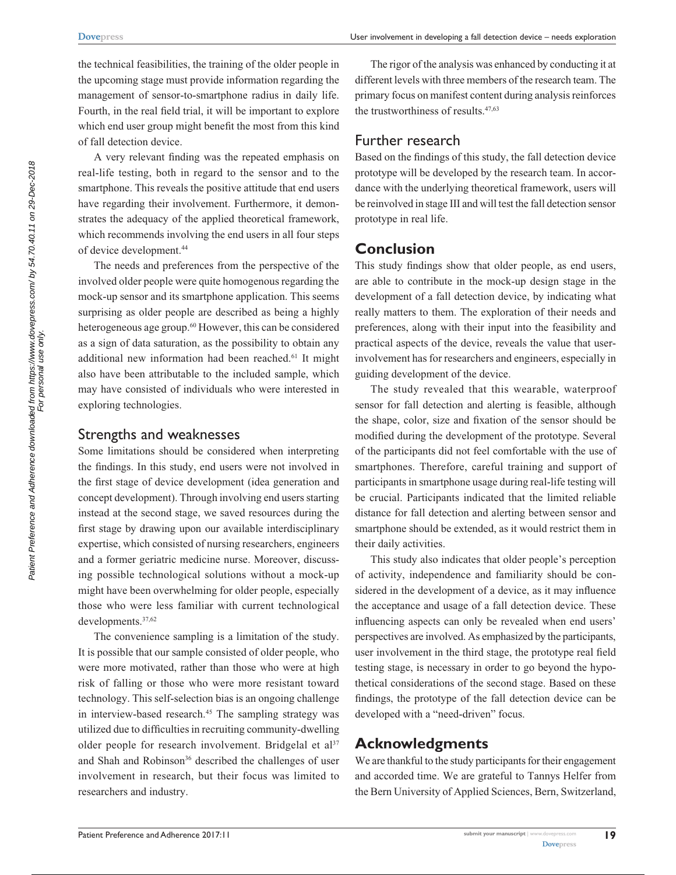the technical feasibilities, the training of the older people in the upcoming stage must provide information regarding the management of sensor-to-smartphone radius in daily life. Fourth, in the real field trial, it will be important to explore which end user group might benefit the most from this kind of fall detection device.

A very relevant finding was the repeated emphasis on real-life testing, both in regard to the sensor and to the smartphone. This reveals the positive attitude that end users have regarding their involvement. Furthermore, it demonstrates the adequacy of the applied theoretical framework, which recommends involving the end users in all four steps of device development.44

The needs and preferences from the perspective of the involved older people were quite homogenous regarding the mock-up sensor and its smartphone application. This seems surprising as older people are described as being a highly heterogeneous age group.<sup>60</sup> However, this can be considered as a sign of data saturation, as the possibility to obtain any additional new information had been reached.<sup>61</sup> It might also have been attributable to the included sample, which may have consisted of individuals who were interested in exploring technologies.

#### Strengths and weaknesses

Some limitations should be considered when interpreting the findings. In this study, end users were not involved in the first stage of device development (idea generation and concept development). Through involving end users starting instead at the second stage, we saved resources during the first stage by drawing upon our available interdisciplinary expertise, which consisted of nursing researchers, engineers and a former geriatric medicine nurse. Moreover, discussing possible technological solutions without a mock-up might have been overwhelming for older people, especially those who were less familiar with current technological developments.37,62

The convenience sampling is a limitation of the study. It is possible that our sample consisted of older people, who were more motivated, rather than those who were at high risk of falling or those who were more resistant toward technology. This self-selection bias is an ongoing challenge in interview-based research.<sup>45</sup> The sampling strategy was utilized due to difficulties in recruiting community-dwelling older people for research involvement. Bridgelal et  $al^{37}$ and Shah and Robinson<sup>36</sup> described the challenges of user involvement in research, but their focus was limited to researchers and industry.

The rigor of the analysis was enhanced by conducting it at different levels with three members of the research team. The primary focus on manifest content during analysis reinforces the trustworthiness of results.47,63

## Further research

Based on the findings of this study, the fall detection device prototype will be developed by the research team. In accordance with the underlying theoretical framework, users will be reinvolved in stage III and will test the fall detection sensor prototype in real life.

# **Conclusion**

This study findings show that older people, as end users, are able to contribute in the mock-up design stage in the development of a fall detection device, by indicating what really matters to them. The exploration of their needs and preferences, along with their input into the feasibility and practical aspects of the device, reveals the value that userinvolvement has for researchers and engineers, especially in guiding development of the device.

The study revealed that this wearable, waterproof sensor for fall detection and alerting is feasible, although the shape, color, size and fixation of the sensor should be modified during the development of the prototype. Several of the participants did not feel comfortable with the use of smartphones. Therefore, careful training and support of participants in smartphone usage during real-life testing will be crucial. Participants indicated that the limited reliable distance for fall detection and alerting between sensor and smartphone should be extended, as it would restrict them in their daily activities.

This study also indicates that older people's perception of activity, independence and familiarity should be considered in the development of a device, as it may influence the acceptance and usage of a fall detection device. These influencing aspects can only be revealed when end users' perspectives are involved. As emphasized by the participants, user involvement in the third stage, the prototype real field testing stage, is necessary in order to go beyond the hypothetical considerations of the second stage. Based on these findings, the prototype of the fall detection device can be developed with a "need-driven" focus.

## **Acknowledgments**

We are thankful to the study participants for their engagement and accorded time. We are grateful to Tannys Helfer from the Bern University of Applied Sciences, Bern, Switzerland,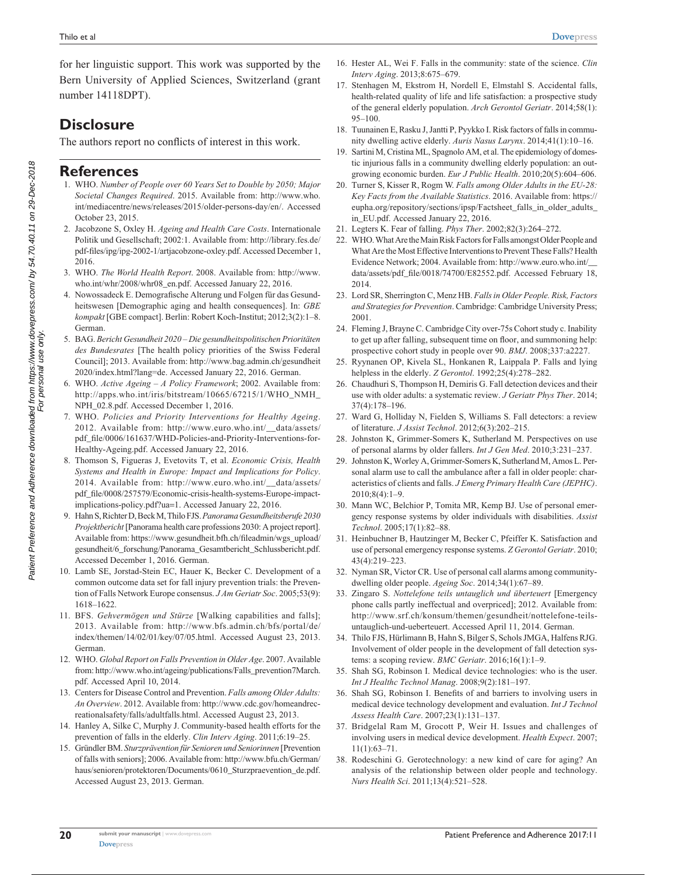for her linguistic support. This work was supported by the Bern University of Applied Sciences, Switzerland (grant number 14118DPT).

# **Disclosure**

The authors report no conflicts of interest in this work.

# **References**

Patient Preference and Adherence downloaded from https://www.dovepress.com/ by 54.70.40.11 on 29-Dec-2018<br>For personal use only Patient Preference and Adherence downloaded from https://www.dovepress.com/ by 54.70.40.11 on 29-Dec-2018 For personal use only.

- 1. WHO. *Number of People over 60 Years Set to Double by 2050; Major Societal Changes Required*. 2015. Available from: [http://www.who.](http://www.who.int/mediacentre/news/releases/2015/older-persons-day/en/) [int/mediacentre/news/releases/2015/older-persons-day/en/](http://www.who.int/mediacentre/news/releases/2015/older-persons-day/en/). Accessed October 23, 2015.
- 2. Jacobzone S, Oxley H. *Ageing and Health Care Costs*. Internationale Politik und Gesellschaft; 2002:1. Available from: [http://library.fes.de/](http://library.fes.de/pdf-files/ipg/ipg-2002-1/artjacobzone-oxley.pdf) [pdf-files/ipg/ipg-2002-1/artjacobzone-oxley.pdf.](http://library.fes.de/pdf-files/ipg/ipg-2002-1/artjacobzone-oxley.pdf) Accessed December 1, 2016.
- 3. WHO. *The World Health Report*. 2008. Available from: [http://www.](http://www.who.int/whr/2008/whr08_en.pdf) [who.int/whr/2008/whr08\\_en.pdf.](http://www.who.int/whr/2008/whr08_en.pdf) Accessed January 22, 2016.
- 4. Nowossadeck E. Demografische Alterung und Folgen für das Gesundheitswesen [Demographic aging and health consequences]. In: *GBE kompakt* [GBE compact]. Berlin: Robert Koch-Institut; 2012;3(2):1–8. German.
- 5. BAG. *Bericht Gesundheit 2020 Die gesundheitspolitischen Prioritäten des Bundesrates* [The health policy priorities of the Swiss Federal Council]; 2013. Available from: [http://www.bag.admin.ch/gesundheit](http://www.bag.admin.ch/gesundheit2020/index.html?lang=de) [2020/index.html?lang=de.](http://www.bag.admin.ch/gesundheit2020/index.html?lang=de) Accessed January 22, 2016. German.
- 6. WHO. *Active Ageing A Policy Framework*; 2002. Available from: [http://apps.who.int/iris/bitstream/10665/67215/1/WHO\\_NMH\\_](http://apps.who.int/iris/bitstream/10665/67215/1/WHO_NMH_NPH_02.8.pdf) [NPH\\_02.8.pdf.](http://apps.who.int/iris/bitstream/10665/67215/1/WHO_NMH_NPH_02.8.pdf) Accessed December 1, 2016.
- 7. WHO. *Policies and Priority Interventions for Healthy Ageing*. 2012. Available from: [http://www.euro.who.int/\\_\\_data/assets/](http://www.euro.who.int/__data/assets/pdf_file/0006/161637/WHD-Policies-and-Priority-Interventions-for-Healthy-Ageing.pdf) [pdf\\_file/0006/161637/WHD-Policies-and-Priority-Interventions-for-](http://www.euro.who.int/__data/assets/pdf_file/0006/161637/WHD-Policies-and-Priority-Interventions-for-Healthy-Ageing.pdf)[Healthy-Ageing.pdf](http://www.euro.who.int/__data/assets/pdf_file/0006/161637/WHD-Policies-and-Priority-Interventions-for-Healthy-Ageing.pdf). Accessed January 22, 2016.
- 8. Thomson S, Figueras J, Evetovits T, et al. *Economic Crisis, Health Systems and Health in Europe: Impact and Implications for Policy*. 2014. Available from: [http://www.euro.who.int/\\_\\_data/assets/](http://www.euro.who.int/__data/assets/pdf_file/0008/257579/Economic-crisis-health-systems-Europe-impact-implications-policy.pdf?ua=1) [pdf\\_file/0008/257579/Economic-crisis-health-systems-Europe-impact](http://www.euro.who.int/__data/assets/pdf_file/0008/257579/Economic-crisis-health-systems-Europe-impact-implications-policy.pdf?ua=1)[implications-policy.pdf?ua](http://www.euro.who.int/__data/assets/pdf_file/0008/257579/Economic-crisis-health-systems-Europe-impact-implications-policy.pdf?ua=1)=1. Accessed January 22, 2016.
- 9. Hahn S, Richter D, Beck M, Thilo FJS. *Panorama Gesundheitsberufe 2030 Projektbericht* [Panorama health care professions 2030: A project report]. Available from: [https://www.gesundheit.bfh.ch/fileadmin/wgs\\_upload/](https://www.gesundheit.bfh.ch/fileadmin/wgs_upload/gesundheit/6_forschung/Panorama_Gesamtbericht_Schlussbericht.pdf) [gesundheit/6\\_forschung/Panorama\\_Gesamtbericht\\_Schlussbericht.pdf](https://www.gesundheit.bfh.ch/fileadmin/wgs_upload/gesundheit/6_forschung/Panorama_Gesamtbericht_Schlussbericht.pdf). Accessed December 1, 2016. German.
- 10. Lamb SE, Jorstad-Stein EC, Hauer K, Becker C. Development of a common outcome data set for fall injury prevention trials: the Prevention of Falls Network Europe consensus. *J Am Geriatr Soc*. 2005;53(9): 1618–1622.
- 11. BFS. *Gehvermögen und Stürze* [Walking capabilities and falls]; 2013. Available from: [http://www.bfs.admin.ch/bfs/portal/de/](http://www.bfs.admin.ch/bfs/portal/de/index/themen/14/02/01/key/07/05.html) [index/themen/14/02/01/key/07/05.html](http://www.bfs.admin.ch/bfs/portal/de/index/themen/14/02/01/key/07/05.html). Accessed August 23, 2013. German.
- 12. WHO. *Global Report on Falls Prevention in Older Age*. 2007. Available from: [http://www.who.int/ageing/publications/Falls\\_prevention7March.](http://www.who.int/ageing/publications/Falls_prevention7March.pdf) [pdf.](http://www.who.int/ageing/publications/Falls_prevention7March.pdf) Accessed April 10, 2014.
- 13. Centers for Disease Control and Prevention. *Falls among Older Adults: An Overview*. 2012. Available from: [http://www.cdc.gov/homeandrec](http://www.cdc.gov/homeandrecreationalsafety/falls/adultfalls.html)[reationalsafety/falls/adultfalls.html.](http://www.cdc.gov/homeandrecreationalsafety/falls/adultfalls.html) Accessed August 23, 2013.
- 14. Hanley A, Silke C, Murphy J. Community-based health efforts for the prevention of falls in the elderly. *Clin Interv Aging*. 2011;6:19–25.
- 15. Gründler BM. *Sturzprävention für Senioren und Seniorinnen* [Prevention of falls with seniors]; 2006. Available from: [http://www.bfu.ch/German/](http://www.bfu.ch/German/haus/senioren/protekto�ren/Documents/0610_Sturzpraevention_de.pdf) [haus/senioren/protektoren/Documents/0610\\_Sturzpraevention\\_de.pdf](http://www.bfu.ch/German/haus/senioren/protekto�ren/Documents/0610_Sturzpraevention_de.pdf). Accessed August 23, 2013. German.
- 16. Hester AL, Wei F. Falls in the community: state of the science. *Clin Interv Aging*. 2013;8:675–679.
- 17. Stenhagen M, Ekstrom H, Nordell E, Elmstahl S. Accidental falls, health-related quality of life and life satisfaction: a prospective study of the general elderly population. *Arch Gerontol Geriatr*. 2014;58(1): 95–100.
- 18. Tuunainen E, Rasku J, Jantti P, Pyykko I. Risk factors of falls in community dwelling active elderly. *Auris Nasus Larynx*. 2014;41(1):10–16.
- 19. Sartini M, Cristina ML, Spagnolo AM, et al. The epidemiology of domestic injurious falls in a community dwelling elderly population: an outgrowing economic burden. *Eur J Public Health*. 2010;20(5):604–606.
- 20. Turner S, Kisser R, Rogm W. *Falls among Older Adults in the EU-28: Key Facts from the Available Statistics*. 2016. Available from: [https://](https://eupha.org/repository/sections/ipsp/Factsheet_falls_in_older_adults_in_EU.pdf) [eupha.org/repository/sections/ipsp/Factsheet\\_falls\\_in\\_older\\_adults\\_](https://eupha.org/repository/sections/ipsp/Factsheet_falls_in_older_adults_in_EU.pdf) [in\\_EU.pdf](https://eupha.org/repository/sections/ipsp/Factsheet_falls_in_older_adults_in_EU.pdf). Accessed January 22, 2016.
- 21. Legters K. Fear of falling. *Phys Ther*. 2002;82(3):264–272.
- 22. WHO. What Are the Main Risk Factors for Falls amongst Older People and What Are the Most Effective Interventions to Prevent These Falls? Health Evidence Network; 2004. Available from: [http://www.euro.who.int/\\_\\_](http://www.euro.who.int/__data/assets/pdf_file/0018/74700/E82552.pdf) [data/assets/pdf\\_file/0018/74700/E82552.pdf.](http://www.euro.who.int/__data/assets/pdf_file/0018/74700/E82552.pdf) Accessed February 18, 2014.
- 23. Lord SR, Sherrington C, Menz HB. *Falls in Older People. Risk, Factors and Strategies for Prevention*. Cambridge: Cambridge University Press; 2001.
- 24. Fleming J, Brayne C. Cambridge City over-75s Cohort study c. Inability to get up after falling, subsequent time on floor, and summoning help: prospective cohort study in people over 90. *BMJ*. 2008;337:a2227.
- 25. Ryynanen OP, Kivela SL, Honkanen R, Laippala P. Falls and lying helpless in the elderly. *Z Gerontol*. 1992;25(4):278–282.
- 26. Chaudhuri S, Thompson H, Demiris G. Fall detection devices and their use with older adults: a systematic review. *J Geriatr Phys Ther*. 2014; 37(4):178–196.
- 27. Ward G, Holliday N, Fielden S, Williams S. Fall detectors: a review of literature. *J Assist Technol*. 2012;6(3):202–215.
- 28. Johnston K, Grimmer-Somers K, Sutherland M. Perspectives on use of personal alarms by older fallers. *Int J Gen Med*. 2010;3:231–237.
- 29. Johnston K, Worley A, Grimmer-Somers K, Sutherland M, Amos L. Personal alarm use to call the ambulance after a fall in older people: characteristics of clients and falls. *J Emerg Primary Health Care (JEPHC)*. 2010;8(4):1–9.
- 30. Mann WC, Belchior P, Tomita MR, Kemp BJ. Use of personal emergency response systems by older individuals with disabilities. *Assist Technol*. 2005;17(1):82–88.
- 31. Heinbuchner B, Hautzinger M, Becker C, Pfeiffer K. Satisfaction and use of personal emergency response systems. *Z Gerontol Geriatr*. 2010; 43(4):219–223.
- 32. Nyman SR, Victor CR. Use of personal call alarms among communitydwelling older people. *Ageing Soc*. 2014;34(1):67–89.
- 33. Zingaro S. *Nottelefone teils untauglich und überteuert* [Emergency phone calls partly ineffectual and overpriced]; 2012. Available from: [http://www.srf.ch/konsum/themen/gesundheit/nottelefone-teils](http://www.srf.ch/konsum/themen/gesundheit/nottelefone-teils-untauglich-und-ueberteuert)[untauglich-und-ueberteuert.](http://www.srf.ch/konsum/themen/gesundheit/nottelefone-teils-untauglich-und-ueberteuert) Accessed April 11, 2014. German.
- 34. Thilo FJS, Hürlimann B, Hahn S, Bilger S, Schols JMGA, Halfens RJG. Involvement of older people in the development of fall detection systems: a scoping review. *BMC Geriatr*. 2016;16(1):1–9.
- 35. Shah SG, Robinson I. Medical device technologies: who is the user. *Int J Healthc Technol Manag*. 2008;9(2):181–197.
- 36. Shah SG, Robinson I. Benefits of and barriers to involving users in medical device technology development and evaluation. *Int J Technol Assess Health Care*. 2007;23(1):131–137.
- 37. Bridgelal Ram M, Grocott P, Weir H. Issues and challenges of involving users in medical device development. *Health Expect*. 2007; 11(1):63–71.
- 38. Rodeschini G. Gerotechnology: a new kind of care for aging? An analysis of the relationship between older people and technology. *Nurs Health Sci*. 2011;13(4):521–528.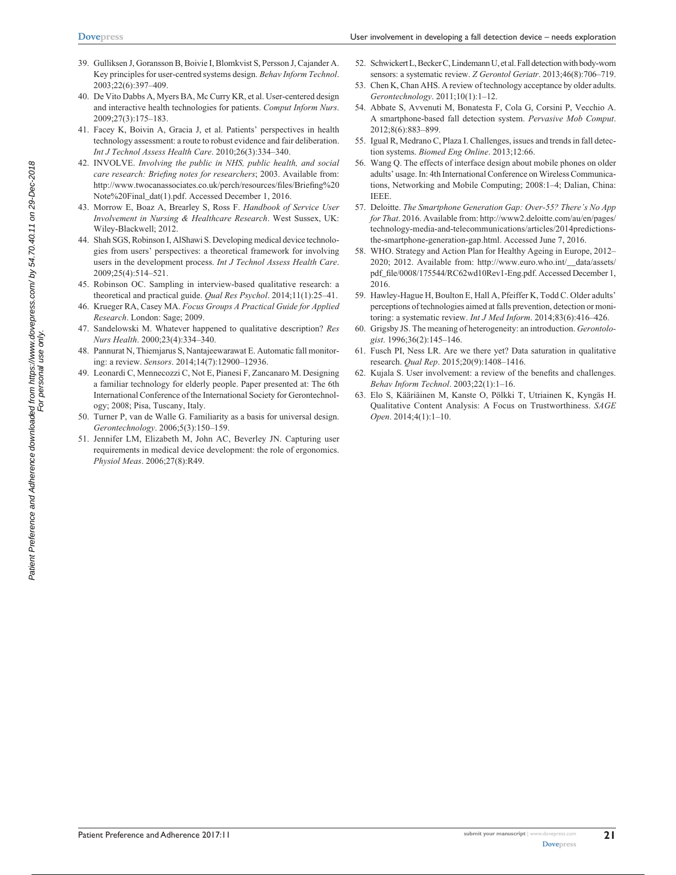- 39. Gulliksen J, Goransson B, Boivie I, Blomkvist S, Persson J, Cajander A. Key principles for user-centred systems design. *Behav Inform Technol*. 2003;22(6):397–409.
- 40. De Vito Dabbs A, Myers BA, Mc Curry KR, et al. User-centered design and interactive health technologies for patients. *Comput Inform Nurs*. 2009;27(3):175–183.
- 41. Facey K, Boivin A, Gracia J, et al. Patients' perspectives in health technology assessment: a route to robust evidence and fair deliberation. *Int J Technol Assess Health Care*. 2010;26(3):334–340.
- 42. INVOLVE. *Involving the public in NHS, public health, and social care research: Briefing notes for researchers*; 2003. Available from: [http://www.twocanassociates.co.uk/perch/resources/files/Briefing%20](http://www.twocanassociates.co.uk/perch/resources/files/Briefing%20Note%20Final_dat(1).pdf) [Note%20Final\\_dat\(1\).pdf](http://www.twocanassociates.co.uk/perch/resources/files/Briefing%20Note%20Final_dat(1).pdf). Accessed December 1, 2016.
- 43. Morrow E, Boaz A, Brearley S, Ross F. *Handbook of Service User Involvement in Nursing & Healthcare Research*. West Sussex, UK: Wiley-Blackwell; 2012.
- 44. Shah SGS, Robinson I, AlShawi S. Developing medical device technologies from users' perspectives: a theoretical framework for involving users in the development process. *Int J Technol Assess Health Care*. 2009;25(4):514–521.
- 45. Robinson OC. Sampling in interview-based qualitative research: a theoretical and practical guide. *Qual Res Psychol*. 2014;11(1):25–41.
- 46. Krueger RA, Casey MA. *Focus Groups A Practical Guide for Applied Research*. London: Sage; 2009.
- 47. Sandelowski M. Whatever happened to qualitative description? *Res Nurs Health*. 2000;23(4):334–340.
- 48. Pannurat N, Thiemjarus S, Nantajeewarawat E. Automatic fall monitoring: a review. *Sensors*. 2014;14(7):12900–12936.
- 49. Leonardi C, Mennecozzi C, Not E, Pianesi F, Zancanaro M. Designing a familiar technology for elderly people. Paper presented at: The 6th International Conference of the International Society for Gerontechnology; 2008; Pisa, Tuscany, Italy.
- 50. Turner P, van de Walle G. Familiarity as a basis for universal design. *Gerontechnology*. 2006;5(3):150–159.
- 51. Jennifer LM, Elizabeth M, John AC, Beverley JN. Capturing user requirements in medical device development: the role of ergonomics. *Physiol Meas*. 2006;27(8):R49.
- 52. Schwickert L, Becker C, Lindemann U, et al. Fall detection with body-worn sensors: a systematic review. *Z Gerontol Geriatr*. 2013;46(8):706–719.
- 53. Chen K, Chan AHS. A review of technology acceptance by older adults. *Gerontechnology*. 2011;10(1):1–12.
- 54. Abbate S, Avvenuti M, Bonatesta F, Cola G, Corsini P, Vecchio A. A smartphone-based fall detection system. *Pervasive Mob Comput*. 2012;8(6):883–899.
- 55. Igual R, Medrano C, Plaza I. Challenges, issues and trends in fall detection systems. *Biomed Eng Online*. 2013;12:66.
- 56. Wang Q. The effects of interface design about mobile phones on older adults' usage. In: 4th International Conference on Wireless Communications, Networking and Mobile Computing; 2008:1–4; Dalian, China: IEEE.
- 57. Deloitte. *The Smartphone Generation Gap: Over-55? There's No App for That*. 2016. Available from: [http://www2.deloitte.com/au/en/pages/](http://www2.deloitte.com/au/en/pages/technology-media-and-telecommunications/articles/2014predictions-the-smartphone-generation-gap.html) [technology-media-and-telecommunications/articles/2014predictions](http://www2.deloitte.com/au/en/pages/technology-media-and-telecommunications/articles/2014predictions-the-smartphone-generation-gap.html)[the-smartphone-generation-gap.html.](http://www2.deloitte.com/au/en/pages/technology-media-and-telecommunications/articles/2014predictions-the-smartphone-generation-gap.html) Accessed June 7, 2016.
- 58. WHO. Strategy and Action Plan for Healthy Ageing in Europe, 2012– 2020; 2012. Available from: [http://www.euro.who.int/\\_\\_data/assets/](http://www.euro.who.int/__data/assets/pdf_file/0008/175544/RC62wd10Rev1-Eng.pdf) [pdf\\_file/0008/175544/RC62wd10Rev1-Eng.pdf.](http://www.euro.who.int/__data/assets/pdf_file/0008/175544/RC62wd10Rev1-Eng.pdf) Accessed December 1, 2016.
- 59. Hawley-Hague H, Boulton E, Hall A, Pfeiffer K, Todd C. Older adults' perceptions of technologies aimed at falls prevention, detection or monitoring: a systematic review. *Int J Med Inform*. 2014;83(6):416–426.
- 60. Grigsby JS. The meaning of heterogeneity: an introduction. *Gerontologist*. 1996;36(2):145–146.
- 61. Fusch PI, Ness LR. Are we there yet? Data saturation in qualitative research. *Qual Rep*. 2015;20(9):1408–1416.
- 62. Kujala S. User involvement: a review of the benefits and challenges. *Behav Inform Technol*. 2003;22(1):1–16.
- 63. Elo S, Kääriäinen M, Kanste O, Pölkki T, Utriainen K, Kyngäs H. Qualitative Content Analysis: A Focus on Trustworthiness. *SAGE Open*. 2014;4(1):1–10.